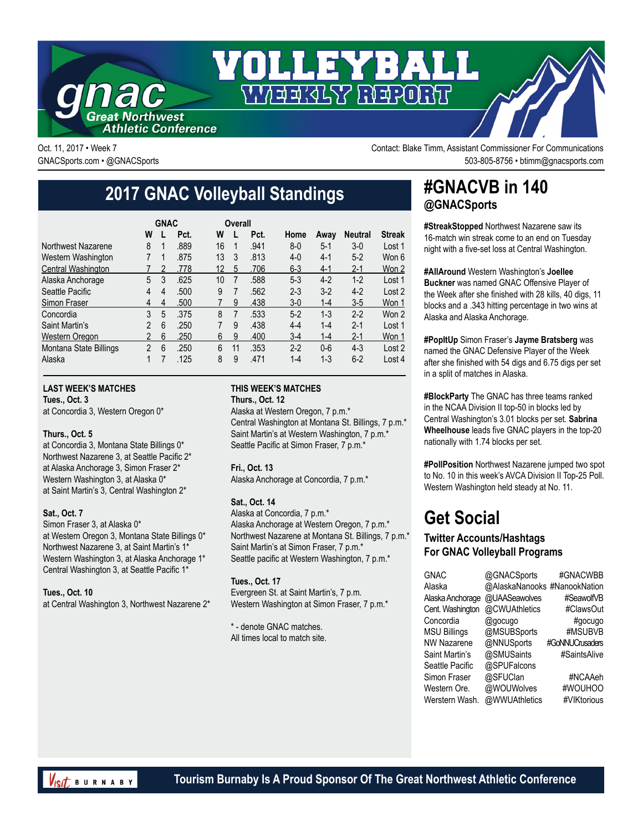

Oct. 11, 2017 • Week 7 Contact: Blake Timm, Assistant Commissioner For Communications GNACSports.com • @GNACSports 503-805-8756 • btimm@gnacsports.com

# **2017 GNAC Volleyball Standings**

|                        | <b>GNAC</b>    |   |      |    |                | Overall |      |         |         |                |               |
|------------------------|----------------|---|------|----|----------------|---------|------|---------|---------|----------------|---------------|
|                        | W              |   | Pct. | W  |                |         | Pct. | Home    | Awav    | <b>Neutral</b> | <b>Streak</b> |
| Northwest Nazarene     | 8              | 1 | .889 | 16 |                |         | .941 | $8 - 0$ | $5 - 1$ | $3-0$          | Lost 1        |
| Western Washington     | 7              | 1 | .875 | 13 | 3              |         | .813 | $4-0$   | $4 - 1$ | $5-2$          | Won 6         |
| Central Washington     |                | 2 | .778 | 12 | 5              |         | .706 | $6 - 3$ | $4-1$   | $2 - 1$        | Won 2         |
| Alaska Anchorage       | 5              | 3 | .625 | 10 | $\overline{7}$ |         | .588 | $5-3$   | $4-2$   | $1-2$          | Lost 1        |
| Seattle Pacific        | 4              | 4 | .500 | 9  | 7              |         | .562 | $2 - 3$ | $3-2$   | $4-2$          | Lost 2        |
| Simon Fraser           | 4              | 4 | .500 |    | 9              |         | .438 | $3-0$   | 1-4     | $3-5$          | Won 1         |
| Concordia              | 3              | 5 | .375 | 8  | 7              |         | .533 | $5-2$   | $1 - 3$ | $2 - 2$        | Won 2         |
| Saint Martin's         | 2              | 6 | .250 | 7  | 9              |         | .438 | $4 - 4$ | $1 - 4$ | $2 - 1$        | Lost 1        |
| Western Oregon         | $\overline{2}$ | 6 | .250 | 6  | 9              |         | .400 | $3-4$   | 1-4     | $2 - 1$        | Won 1         |
| Montana State Billings | $\mathfrak{p}$ | 6 | .250 | 6  | 11             |         | .353 | $2 - 2$ | $0-6$   | $4 - 3$        | Lost 2        |
| Alaska                 |                |   | .125 | 8  | 9              |         | .471 | $1 - 4$ | $1 - 3$ | $6 - 2$        | Lost 4        |

#### **LAST WEEK'S MATCHES**

**Tues., Oct. 3**

at Concordia 3, Western Oregon 0\*

#### **Thurs., Oct. 5**

at Concordia 3, Montana State Billings 0\* Northwest Nazarene 3, at Seattle Pacific 2\* at Alaska Anchorage 3, Simon Fraser 2\* Western Washington 3, at Alaska 0\* at Saint Martin's 3, Central Washington 2\*

#### **Sat., Oct. 7**

Simon Fraser 3, at Alaska 0\* at Western Oregon 3, Montana State Billings 0\* Northwest Nazarene 3, at Saint Martin's 1\* Western Washington 3, at Alaska Anchorage 1\* Central Washington 3, at Seattle Pacific 1\*

**Tues., Oct. 10**

at Central Washington 3, Northwest Nazarene 2\*

#### **THIS WEEK'S MATCHES Thurs., Oct. 12**

Alaska at Western Oregon, 7 p.m.\* Central Washington at Montana St. Billings, 7 p.m.\* Saint Martin's at Western Washington, 7 p.m.\* Seattle Pacific at Simon Fraser, 7 p.m.\*

#### **Fri., Oct. 13**

Alaska Anchorage at Concordia, 7 p.m.\*

#### **Sat., Oct. 14**

Alaska at Concordia, 7 p.m.\* Alaska Anchorage at Western Oregon, 7 p.m.\* Northwest Nazarene at Montana St. Billings, 7 p.m.\* Saint Martin's at Simon Fraser, 7 p.m.\* Seattle pacific at Western Washington, 7 p.m.\*

**Tues., Oct. 17** Evergreen St. at Saint Martin's, 7 p.m. Western Washington at Simon Fraser, 7 p.m.\*

\* - denote GNAC matches. All times local to match site.

### **#GNACVB in 140 @GNACSports**

**#StreakStopped** Northwest Nazarene saw its 16-match win streak come to an end on Tuesday night with a five-set loss at Central Washington.

#### **#AllAround** Western Washington's **Joellee**

**Buckner** was named GNAC Offensive Player of the Week after she finished with 28 kills, 40 digs, 11 blocks and a .343 hitting percentage in two wins at Alaska and Alaska Anchorage.

**#PopItUp** Simon Fraser's **Jayme Bratsberg** was named the GNAC Defensive Player of the Week after she finished with 54 digs and 6.75 digs per set in a split of matches in Alaska.

**#BlockParty** The GNAC has three teams ranked in the NCAA Division II top-50 in blocks led by Central Washington's 3.01 blocks per set. **Sabrina Wheelhouse** leads five GNAC players in the top-20 nationally with 1.74 blocks per set.

**#PollPosition** Northwest Nazarene jumped two spot to No. 10 in this week's AVCA Division II Top-25 Poll. Western Washington held steady at No. 11.

## **Get Social**

#### **Twitter Accounts/Hashtags For GNAC Volleyball Programs**

| <b>GNAC</b>         | @GNACSports                  | #GNACWBB        |
|---------------------|------------------------------|-----------------|
| Alaska              | @AlaskaNanooks #NanookNation |                 |
| Alaska Anchorage    | @UAASeawolves                | #SeawolfVB      |
| Cent. Washington    | @CWUAthletics                | #ClawsOut       |
| Concordia           | @gocugo                      | #gocugo         |
| <b>MSU Billings</b> | @MSUBSports                  | #MSUBVB         |
| <b>NW Nazarene</b>  | @NNUSports                   | #GoNNUCrusaders |
| Saint Martin's      | @SMUSaints                   | #SaintsAlive    |
| Seattle Pacific     | @SPUFalcons                  |                 |
| Simon Fraser        | @SFUClan                     | #NCAAeh         |
| Western Ore.        | @WOUWolves                   | #WOUHOO         |
| Werstern Wash.      | @WWUAthletics                | #VIKtorious     |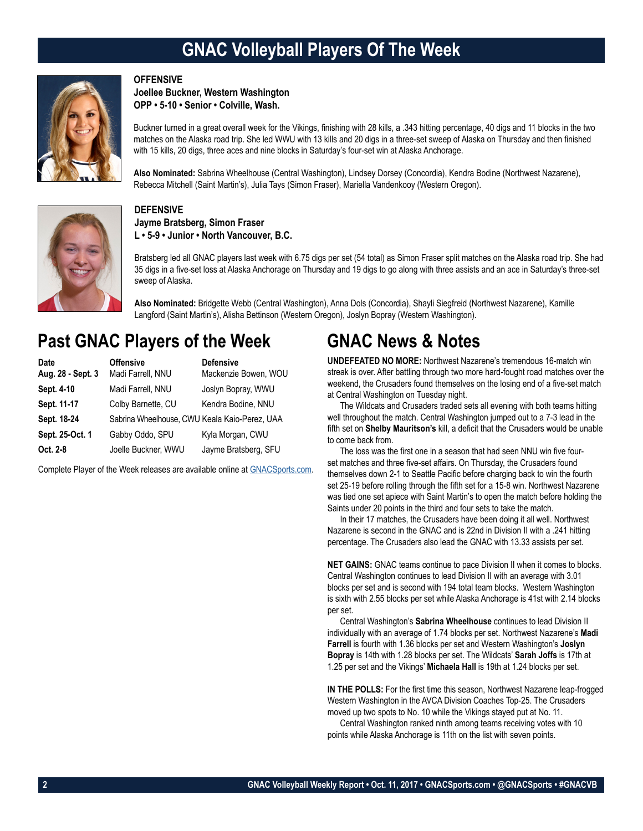## **GNAC Volleyball Players Of The Week**



#### **OFFENSIVE**

**Joellee Buckner, Western Washington OPP • 5-10 • Senior • Colville, Wash.**

Buckner turned in a great overall week for the Vikings, finishing with 28 kills, a .343 hitting percentage, 40 digs and 11 blocks in the two matches on the Alaska road trip. She led WWU with 13 kills and 20 digs in a three-set sweep of Alaska on Thursday and then finished with 15 kills, 20 digs, three aces and nine blocks in Saturday's four-set win at Alaska Anchorage.

**Also Nominated:** Sabrina Wheelhouse (Central Washington), Lindsey Dorsey (Concordia), Kendra Bodine (Northwest Nazarene), Rebecca Mitchell (Saint Martin's), Julia Tays (Simon Fraser), Mariella Vandenkooy (Western Oregon).



#### **DEFENSIVE**

**Jayme Bratsberg, Simon Fraser L • 5-9 • Junior • North Vancouver, B.C.**

Bratsberg led all GNAC players last week with 6.75 digs per set (54 total) as Simon Fraser split matches on the Alaska road trip. She had 35 digs in a five-set loss at Alaska Anchorage on Thursday and 19 digs to go along with three assists and an ace in Saturday's three-set sweep of Alaska.

**Also Nominated:** Bridgette Webb (Central Washington), Anna Dols (Concordia), Shayli Siegfreid (Northwest Nazarene), Kamille Langford (Saint Martin's), Alisha Bettinson (Western Oregon), Joslyn Bopray (Western Washington).

### **Past GNAC Players of the Week**

| Date              | <b>Offensive</b>                              | <b>Defensive</b>     |
|-------------------|-----------------------------------------------|----------------------|
| Aug. 28 - Sept. 3 | Madi Farrell, NNU                             | Mackenzie Bowen, WOU |
| Sept. 4-10        | Madi Farrell, NNU                             | Joslyn Bopray, WWU   |
| Sept. 11-17       | Colby Barnette, CU                            | Kendra Bodine, NNU   |
| Sept. 18-24       | Sabrina Wheelhouse, CWU Keala Kaio-Perez, UAA |                      |
| Sept. 25-Oct. 1   | Gabby Oddo, SPU                               | Kyla Morgan, CWU     |
| Oct. 2-8          | Joelle Buckner, WWU                           | Jayme Bratsberg, SFU |

Complete Player of the Week releases are available online at [GNACSports.com.](http://www.gnacsports.com/football/fbredlion/)

### **GNAC News & Notes**

**UNDEFEATED NO MORE:** Northwest Nazarene's tremendous 16-match win streak is over. After battling through two more hard-fought road matches over the weekend, the Crusaders found themselves on the losing end of a five-set match at Central Washington on Tuesday night.

The Wildcats and Crusaders traded sets all evening with both teams hitting well throughout the match. Central Washington jumped out to a 7-3 lead in the fifth set on **Shelby Mauritson's** kill, a deficit that the Crusaders would be unable to come back from.

The loss was the first one in a season that had seen NNU win five fourset matches and three five-set affairs. On Thursday, the Crusaders found themselves down 2-1 to Seattle Pacific before charging back to win the fourth set 25-19 before rolling through the fifth set for a 15-8 win. Northwest Nazarene was tied one set apiece with Saint Martin's to open the match before holding the Saints under 20 points in the third and four sets to take the match.

In their 17 matches, the Crusaders have been doing it all well. Northwest Nazarene is second in the GNAC and is 22nd in Division II with a .241 hitting percentage. The Crusaders also lead the GNAC with 13.33 assists per set.

**NET GAINS:** GNAC teams continue to pace Division II when it comes to blocks. Central Washington continues to lead Division II with an average with 3.01 blocks per set and is second with 194 total team blocks. Western Washington is sixth with 2.55 blocks per set while Alaska Anchorage is 41st with 2.14 blocks per set.

Central Washington's **Sabrina Wheelhouse** continues to lead Division II individually with an average of 1.74 blocks per set. Northwest Nazarene's **Madi Farrell** is fourth with 1.36 blocks per set and Western Washington's **Joslyn Bopray** is 14th with 1.28 blocks per set. The Wildcats' **Sarah Joffs** is 17th at 1.25 per set and the Vikings' **Michaela Hall** is 19th at 1.24 blocks per set.

**IN THE POLLS:** For the first time this season, Northwest Nazarene leap-frogged Western Washington in the AVCA Division Coaches Top-25. The Crusaders moved up two spots to No. 10 while the Vikings stayed put at No. 11.

Central Washington ranked ninth among teams receiving votes with 10 points while Alaska Anchorage is 11th on the list with seven points.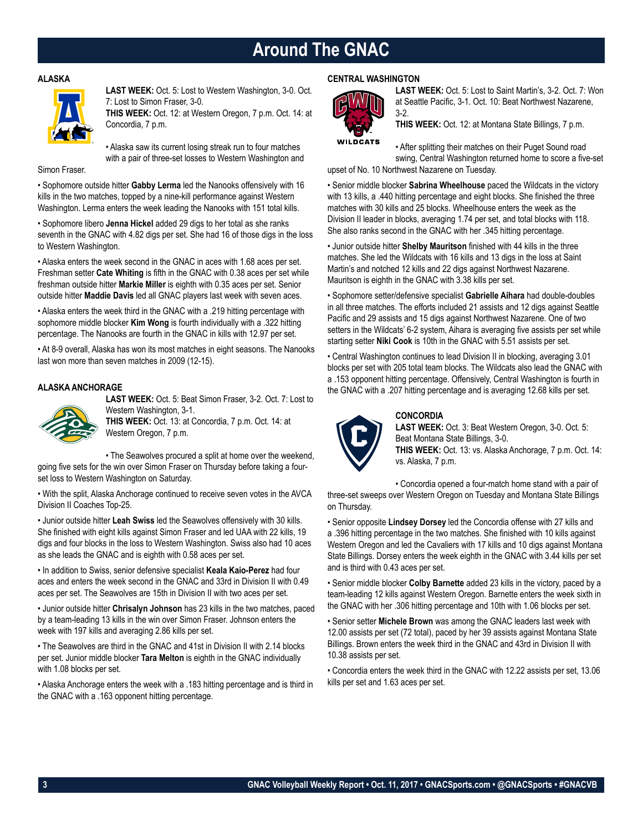### **Around The GNAC**

#### **ALASKA**



**LAST WEEK:** Oct. 5: Lost to Western Washington, 3-0. Oct. 7: Lost to Simon Fraser, 3-0.

**THIS WEEK:** Oct. 12: at Western Oregon, 7 p.m. Oct. 14: at Concordia, 7 p.m.

• Alaska saw its current losing streak run to four matches with a pair of three-set losses to Western Washington and

Simon Fraser.

• Sophomore outside hitter **Gabby Lerma** led the Nanooks offensively with 16 kills in the two matches, topped by a nine-kill performance against Western Washington. Lerma enters the week leading the Nanooks with 151 total kills.

• Sophomore libero **Jenna Hickel** added 29 digs to her total as she ranks seventh in the GNAC with 4.82 digs per set. She had 16 of those digs in the loss to Western Washington.

• Alaska enters the week second in the GNAC in aces with 1.68 aces per set. Freshman setter **Cate Whiting** is fifth in the GNAC with 0.38 aces per set while freshman outside hitter **Markie Miller** is eighth with 0.35 aces per set. Senior outside hitter **Maddie Davis** led all GNAC players last week with seven aces.

• Alaska enters the week third in the GNAC with a .219 hitting percentage with sophomore middle blocker **Kim Wong** is fourth individually with a .322 hitting percentage. The Nanooks are fourth in the GNAC in kills with 12.97 per set.

• At 8-9 overall, Alaska has won its most matches in eight seasons. The Nanooks last won more than seven matches in 2009 (12-15).

#### **ALASKA ANCHORAGE**



**LAST WEEK:** Oct. 5: Beat Simon Fraser, 3-2. Oct. 7: Lost to Western Washington, 3-1.

**THIS WEEK:** Oct. 13: at Concordia, 7 p.m. Oct. 14: at Western Oregon, 7 p.m.

• The Seawolves procured a split at home over the weekend, going five sets for the win over Simon Fraser on Thursday before taking a fourset loss to Western Washington on Saturday.

• With the split, Alaska Anchorage continued to receive seven votes in the AVCA Division II Coaches Top-25.

• Junior outside hitter **Leah Swiss** led the Seawolves offensively with 30 kills. She finished with eight kills against Simon Fraser and led UAA with 22 kills, 19 digs and four blocks in the loss to Western Washington. Swiss also had 10 aces as she leads the GNAC and is eighth with 0.58 aces per set.

• In addition to Swiss, senior defensive specialist **Keala Kaio-Perez** had four aces and enters the week second in the GNAC and 33rd in Division II with 0.49 aces per set. The Seawolves are 15th in Division II with two aces per set.

• Junior outside hitter **Chrisalyn Johnson** has 23 kills in the two matches, paced by a team-leading 13 kills in the win over Simon Fraser. Johnson enters the week with 197 kills and averaging 2.86 kills per set.

• The Seawolves are third in the GNAC and 41st in Division II with 2.14 blocks per set. Junior middle blocker **Tara Melton** is eighth in the GNAC individually with 1.08 blocks per set.

• Alaska Anchorage enters the week with a .183 hitting percentage and is third in the GNAC with a .163 opponent hitting percentage.

#### **CENTRAL WASHINGTON**



**LAST WEEK:** Oct. 5: Lost to Saint Martin's, 3-2. Oct. 7: Won at Seattle Pacific, 3-1. Oct. 10: Beat Northwest Nazarene, 3-2.

**THIS WEEK:** Oct. 12: at Montana State Billings, 7 p.m.

**WILDCATS** 

• After splitting their matches on their Puget Sound road swing, Central Washington returned home to score a five-set upset of No. 10 Northwest Nazarene on Tuesday.

• Senior middle blocker **Sabrina Wheelhouse** paced the Wildcats in the victory with 13 kills, a .440 hitting percentage and eight blocks. She finished the three matches with 30 kills and 25 blocks. Wheelhouse enters the week as the Division II leader in blocks, averaging 1.74 per set, and total blocks with 118. She also ranks second in the GNAC with her .345 hitting percentage.

• Junior outside hitter **Shelby Mauritson** finished with 44 kills in the three matches. She led the Wildcats with 16 kills and 13 digs in the loss at Saint Martin's and notched 12 kills and 22 digs against Northwest Nazarene. Mauritson is eighth in the GNAC with 3.38 kills per set.

• Sophomore setter/defensive specialist **Gabrielle Aihara** had double-doubles in all three matches. The efforts included 21 assists and 12 digs against Seattle Pacific and 29 assists and 15 digs against Northwest Nazarene. One of two setters in the Wildcats' 6-2 system, Aihara is averaging five assists per set while starting setter **Niki Cook** is 10th in the GNAC with 5.51 assists per set.

• Central Washington continues to lead Division II in blocking, averaging 3.01 blocks per set with 205 total team blocks. The Wildcats also lead the GNAC with a .153 opponent hitting percentage. Offensively, Central Washington is fourth in the GNAC with a .207 hitting percentage and is averaging 12.68 kills per set.

#### **CONCORDIA**



**LAST WEEK:** Oct. 3: Beat Western Oregon, 3-0. Oct. 5: Beat Montana State Billings, 3-0. **THIS WEEK:** Oct. 13: vs. Alaska Anchorage, 7 p.m. Oct. 14: vs. Alaska, 7 p.m.

• Concordia opened a four-match home stand with a pair of three-set sweeps over Western Oregon on Tuesday and Montana State Billings on Thursday.

• Senior opposite **Lindsey Dorsey** led the Concordia offense with 27 kills and a .396 hitting percentage in the two matches. She finished with 10 kills against Western Oregon and led the Cavaliers with 17 kills and 10 digs against Montana State Billings. Dorsey enters the week eighth in the GNAC with 3.44 kills per set and is third with 0.43 aces per set.

• Senior middle blocker **Colby Barnette** added 23 kills in the victory, paced by a team-leading 12 kills against Western Oregon. Barnette enters the week sixth in the GNAC with her .306 hitting percentage and 10th with 1.06 blocks per set.

• Senior setter **Michele Brown** was among the GNAC leaders last week with 12.00 assists per set (72 total), paced by her 39 assists against Montana State Billings. Brown enters the week third in the GNAC and 43rd in Division II with 10.38 assists per set.

• Concordia enters the week third in the GNAC with 12.22 assists per set, 13.06 kills per set and 1.63 aces per set.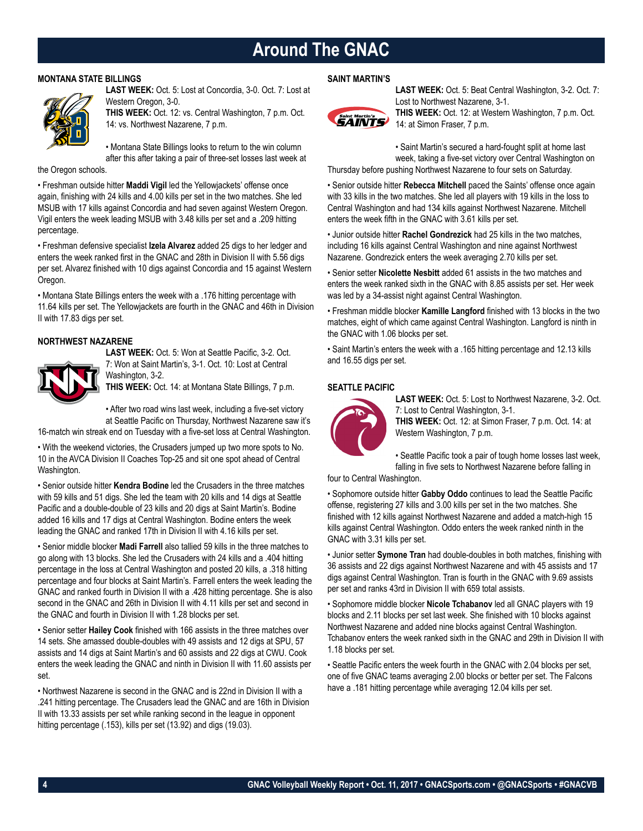### **Around The GNAC**

#### **MONTANA STATE BILLINGS**



**LAST WEEK:** Oct. 5: Lost at Concordia, 3-0. Oct. 7: Lost at Western Oregon, 3-0.

**THIS WEEK:** Oct. 12: vs. Central Washington, 7 p.m. Oct. 14: vs. Northwest Nazarene, 7 p.m.

• Montana State Billings looks to return to the win column after this after taking a pair of three-set losses last week at

the Oregon schools.

• Freshman outside hitter **Maddi Vigil** led the Yellowjackets' offense once again, finishing with 24 kills and 4.00 kills per set in the two matches. She led MSUB with 17 kills against Concordia and had seven against Western Oregon. Vigil enters the week leading MSUB with 3.48 kills per set and a .209 hitting percentage.

• Freshman defensive specialist **Izela Alvarez** added 25 digs to her ledger and enters the week ranked first in the GNAC and 28th in Division II with 5.56 digs per set. Alvarez finished with 10 digs against Concordia and 15 against Western Oregon.

• Montana State Billings enters the week with a .176 hitting percentage with 11.64 kills per set. The Yellowjackets are fourth in the GNAC and 46th in Division II with 17.83 digs per set.

#### **NORTHWEST NAZARENE LAST WEEK:** Oct. 5: Won at Seattle Pacific, 3-2. Oct.



7: Won at Saint Martin's, 3-1. Oct. 10: Lost at Central Washington, 3-2. **THIS WEEK:** Oct. 14: at Montana State Billings, 7 p.m.

• After two road wins last week, including a five-set victory at Seattle Pacific on Thursday, Northwest Nazarene saw it's

16-match win streak end on Tuesday with a five-set loss at Central Washington.

• With the weekend victories, the Crusaders jumped up two more spots to No. 10 in the AVCA Division II Coaches Top-25 and sit one spot ahead of Central Washington.

• Senior outside hitter **Kendra Bodine** led the Crusaders in the three matches with 59 kills and 51 digs. She led the team with 20 kills and 14 digs at Seattle Pacific and a double-double of 23 kills and 20 digs at Saint Martin's. Bodine added 16 kills and 17 digs at Central Washington. Bodine enters the week leading the GNAC and ranked 17th in Division II with 4.16 kills per set.

• Senior middle blocker **Madi Farrell** also tallied 59 kills in the three matches to go along with 13 blocks. She led the Crusaders with 24 kills and a .404 hitting percentage in the loss at Central Washington and posted 20 kills, a .318 hitting percentage and four blocks at Saint Martin's. Farrell enters the week leading the GNAC and ranked fourth in Division II with a .428 hitting percentage. She is also second in the GNAC and 26th in Division II with 4.11 kills per set and second in the GNAC and fourth in Division II with 1.28 blocks per set.

• Senior setter **Hailey Cook** finished with 166 assists in the three matches over 14 sets. She amassed double-doubles with 49 assists and 12 digs at SPU, 57 assists and 14 digs at Saint Martin's and 60 assists and 22 digs at CWU. Cook enters the week leading the GNAC and ninth in Division II with 11.60 assists per set.

• Northwest Nazarene is second in the GNAC and is 22nd in Division II with a .241 hitting percentage. The Crusaders lead the GNAC and are 16th in Division II with 13.33 assists per set while ranking second in the league in opponent hitting percentage (.153), kills per set (13.92) and digs (19.03).

#### **SAINT MARTIN'S**



**LAST WEEK:** Oct. 5: Beat Central Washington, 3-2. Oct. 7: Lost to Northwest Nazarene, 3-1.

**THIS WEEK:** Oct. 12: at Western Washington, 7 p.m. Oct. 14: at Simon Fraser, 7 p.m.

• Saint Martin's secured a hard-fought split at home last week, taking a five-set victory over Central Washington on

Thursday before pushing Northwest Nazarene to four sets on Saturday.

• Senior outside hitter **Rebecca Mitchell** paced the Saints' offense once again with 33 kills in the two matches. She led all players with 19 kills in the loss to Central Washington and had 134 kills against Northwest Nazarene. Mitchell enters the week fifth in the GNAC with 3.61 kills per set.

• Junior outside hitter **Rachel Gondrezick** had 25 kills in the two matches, including 16 kills against Central Washington and nine against Northwest Nazarene. Gondrezick enters the week averaging 2.70 kills per set.

• Senior setter **Nicolette Nesbitt** added 61 assists in the two matches and enters the week ranked sixth in the GNAC with 8.85 assists per set. Her week was led by a 34-assist night against Central Washington.

• Freshman middle blocker **Kamille Langford** finished with 13 blocks in the two matches, eight of which came against Central Washington. Langford is ninth in the GNAC with 1.06 blocks per set.

• Saint Martin's enters the week with a .165 hitting percentage and 12.13 kills and 16.55 digs per set.

#### **SEATTLE PACIFIC**



**LAST WEEK:** Oct. 5: Lost to Northwest Nazarene, 3-2. Oct. 7: Lost to Central Washington, 3-1.

**THIS WEEK:** Oct. 12: at Simon Fraser, 7 p.m. Oct. 14: at Western Washington, 7 p.m.

• Seattle Pacific took a pair of tough home losses last week, falling in five sets to Northwest Nazarene before falling in

four to Central Washington.

• Sophomore outside hitter **Gabby Oddo** continues to lead the Seattle Pacific offense, registering 27 kills and 3.00 kills per set in the two matches. She finished with 12 kills against Northwest Nazarene and added a match-high 15 kills against Central Washington. Oddo enters the week ranked ninth in the GNAC with 3.31 kills per set.

• Junior setter **Symone Tran** had double-doubles in both matches, finishing with 36 assists and 22 digs against Northwest Nazarene and with 45 assists and 17 digs against Central Washington. Tran is fourth in the GNAC with 9.69 assists per set and ranks 43rd in Division II with 659 total assists.

• Sophomore middle blocker **Nicole Tchabanov** led all GNAC players with 19 blocks and 2.11 blocks per set last week. She finished with 10 blocks against Northwest Nazarene and added nine blocks against Central Washington. Tchabanov enters the week ranked sixth in the GNAC and 29th in Division II with 1.18 blocks per set.

• Seattle Pacific enters the week fourth in the GNAC with 2.04 blocks per set, one of five GNAC teams averaging 2.00 blocks or better per set. The Falcons have a .181 hitting percentage while averaging 12.04 kills per set.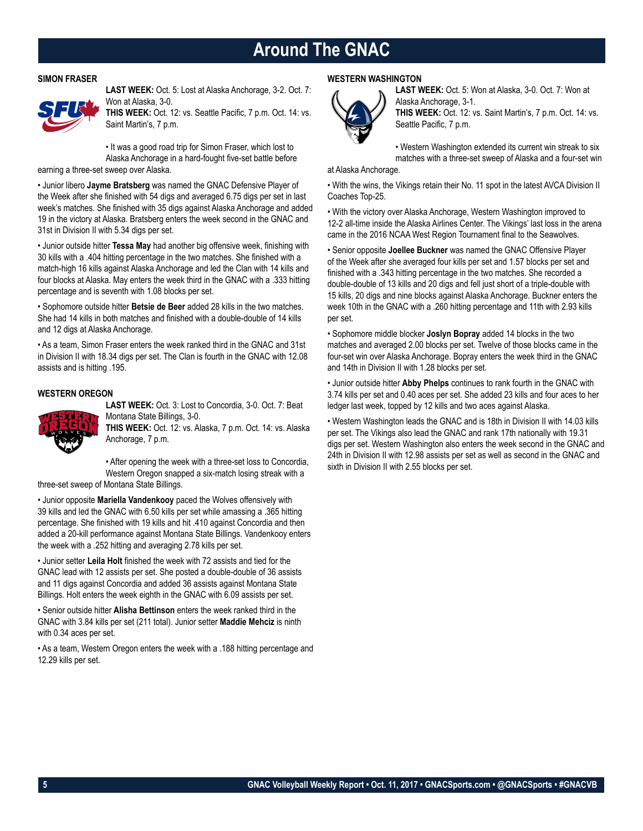### **Around The GNAC**

#### **SIMON FRASER**



**LAST WEEK:** Oct. 5: Lost at Alaska Anchorage, 3-2. Oct. 7: Won at Alaska, 3-0.

**THIS WEEK:** Oct. 12: vs. Seattle Pacific, 7 p.m. Oct. 14: vs. Saint Martin's, 7 p.m.

• It was a good road trip for Simon Fraser, which lost to Alaska Anchorage in a hard-fought five-set battle before

earning a three-set sweep over Alaska.

• Junior libero **Jayme Bratsberg** was named the GNAC Defensive Player of the Week after she finished with 54 digs and averaged 6.75 digs per set in last week's matches. She finished with 35 digs against Alaska Anchorage and added 19 in the victory at Alaska. Bratsberg enters the week second in the GNAC and 31st in Division II with 5.34 digs per set.

• Junior outside hitter **Tessa May** had another big offensive week, finishing with 30 kills with a .404 hitting percentage in the two matches. She finished with a match-high 16 kills against Alaska Anchorage and led the Clan with 14 kills and four blocks at Alaska. May enters the week third in the GNAC with a .333 hitting percentage and is seventh with 1.08 blocks per set.

• Sophomore outside hitter **Betsie de Beer** added 28 kills in the two matches. She had 14 kills in both matches and finished with a double-double of 14 kills and 12 digs at Alaska Anchorage.

• As a team, Simon Fraser enters the week ranked third in the GNAC and 31st in Division II with 18.34 digs per set. The Clan is fourth in the GNAC with 12.08 assists and is hitting .195.

#### **WESTERN OREGON**



**LAST WEEK:** Oct. 3: Lost to Concordia, 3-0. Oct. 7: Beat Montana State Billings, 3-0. **THIS WEEK:** Oct. 12: vs. Alaska, 7 p.m. Oct. 14: vs. Alaska

Anchorage, 7 p.m. • After opening the week with a three-set loss to Concordia,

Western Oregon snapped a six-match losing streak with a

three-set sweep of Montana State Billings.

• Junior opposite **Mariella Vandenkooy** paced the Wolves offensively with 39 kills and led the GNAC with 6.50 kills per set while amassing a .365 hitting percentage. She finished with 19 kills and hit .410 against Concordia and then added a 20-kill performance against Montana State Billings. Vandenkooy enters the week with a .252 hitting and averaging 2.78 kills per set.

• Junior setter **Leila Holt** finished the week with 72 assists and tied for the GNAC lead with 12 assists per set. She posted a double-double of 36 assists and 11 digs against Concordia and added 36 assists against Montana State Billings. Holt enters the week eighth in the GNAC with 6.09 assists per set.

• Senior outside hitter **Alisha Bettinson** enters the week ranked third in the GNAC with 3.84 kills per set (211 total). Junior setter **Maddie Mehciz** is ninth with 0.34 aces per set.

• As a team, Western Oregon enters the week with a .188 hitting percentage and 12.29 kills per set.

#### **WESTERN WASHINGTON**



**LAST WEEK:** Oct. 5: Won at Alaska, 3-0. Oct. 7: Won at Alaska Anchorage, 3-1. **THIS WEEK:** Oct. 12: vs. Saint Martin's, 7 p.m. Oct. 14: vs.

Seattle Pacific, 7 p.m.

• Western Washington extended its current win streak to six matches with a three-set sweep of Alaska and a four-set win

at Alaska Anchorage.

• With the wins, the Vikings retain their No. 11 spot in the latest AVCA Division II Coaches Top-25.

• With the victory over Alaska Anchorage, Western Washington improved to 12-2 all-time inside the Alaska Airlines Center. The Vikings' last loss in the arena came in the 2016 NCAA West Region Tournament final to the Seawolves.

• Senior opposite **Joellee Buckner** was named the GNAC Offensive Player of the Week after she averaged four kills per set and 1.57 blocks per set and finished with a .343 hitting percentage in the two matches. She recorded a double-double of 13 kills and 20 digs and fell just short of a triple-double with 15 kills, 20 digs and nine blocks against Alaska Anchorage. Buckner enters the week 10th in the GNAC with a .260 hitting percentage and 11th with 2.93 kills per set.

• Sophomore middle blocker **Joslyn Bopray** added 14 blocks in the two matches and averaged 2.00 blocks per set. Twelve of those blocks came in the four-set win over Alaska Anchorage. Bopray enters the week third in the GNAC and 14th in Division II with 1.28 blocks per set.

• Junior outside hitter **Abby Phelps** continues to rank fourth in the GNAC with 3.74 kills per set and 0.40 aces per set. She added 23 kills and four aces to her ledger last week, topped by 12 kills and two aces against Alaska.

• Western Washington leads the GNAC and is 18th in Division II with 14.03 kills per set. The Vikings also lead the GNAC and rank 17th nationally with 19.31 digs per set. Western Washington also enters the week second in the GNAC and 24th in Division II with 12.98 assists per set as well as second in the GNAC and sixth in Division II with 2.55 blocks per set.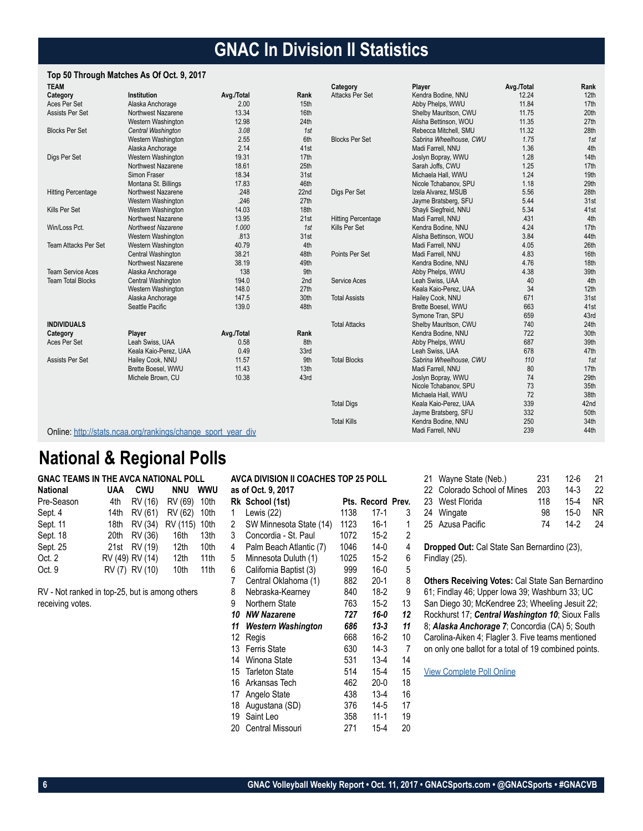### **GNAC In Division II Statistics**

#### **Top 50 Through Matches As Of Oct. 9, 2017**

| <b>TEAM</b>                 |                                                              |            |      | Category                  | Player                  | Avg./Total | Rank             |
|-----------------------------|--------------------------------------------------------------|------------|------|---------------------------|-------------------------|------------|------------------|
| Category                    | Institution                                                  | Avg./Total | Rank | <b>Attacks Per Set</b>    | Kendra Bodine, NNU      | 12.24      | 12 <sub>th</sub> |
| Aces Per Set                | Alaska Anchorage                                             | 2.00       | 15th |                           | Abby Phelps, WWU        | 11.84      | 17th             |
| Assists Per Set             | Northwest Nazarene                                           | 13.34      | 16th |                           | Shelby Mauritson, CWU   | 11.75      | 20th             |
|                             | Western Washington                                           | 12.98      | 24th |                           | Alisha Bettinson, WOU   | 11.35      | 27th             |
| <b>Blocks Per Set</b>       | Central Washington                                           | 3.08       | 1st  |                           | Rebecca Mitchell, SMU   | 11.32      | 28th             |
|                             | Western Washington                                           | 2.55       | 6th  | <b>Blocks Per Set</b>     | Sabrina Wheelhouse, CWU | 1.75       | 1st              |
|                             | Alaska Anchorage                                             | 2.14       | 41st |                           | Madi Farrell, NNU       | 1.36       | 4th              |
| Digs Per Set                | Western Washington                                           | 19.31      | 17th |                           | Joslyn Bopray, WWU      | 1.28       | 14th             |
|                             | Northwest Nazarene                                           | 18.61      | 25th |                           | Sarah Joffs, CWU        | 1.25       | 17th             |
|                             | Simon Fraser                                                 | 18.34      | 31st |                           | Michaela Hall, WWU      | 1.24       | 19th             |
|                             | Montana St. Billings                                         | 17.83      | 46th |                           | Nicole Tchabanov, SPU   | 1.18       | 29th             |
| <b>Hitting Percentage</b>   | Northwest Nazarene                                           | .248       | 22nd | Digs Per Set              | Izela Alvarez, MSUB     | 5.56       | 28th             |
|                             | Western Washington                                           | .246       | 27th |                           | Jayme Bratsberg, SFU    | 5.44       | 31st             |
| Kills Per Set               | Western Washington                                           | 14.03      | 18th |                           | Shayli Siegfreid, NNU   | 5.34       | 41st             |
|                             | Northwest Nazarene                                           | 13.95      | 21st | <b>Hitting Percentage</b> | Madi Farrell, NNU       | .431       | 4th              |
| Win/Loss Pct.               | <b>Northwest Nazarene</b>                                    | 1.000      | 1st  | Kills Per Set             | Kendra Bodine, NNU      | 4.24       | 17th             |
|                             | Western Washington                                           | .813       | 31st |                           | Alisha Bettinson, WOU   | 3.84       | 44th             |
| <b>Team Attacks Per Set</b> | Western Washington                                           | 40.79      | 4th  |                           | Madi Farrell, NNU       | 4.05       | 26th             |
|                             | Central Washington                                           | 38.21      | 48th | Points Per Set            | Madi Farrell, NNU       | 4.83       | 16th             |
|                             | Northwest Nazarene                                           | 38.19      | 49th |                           | Kendra Bodine, NNU      | 4.76       | 18th             |
| <b>Team Service Aces</b>    | Alaska Anchorage                                             | 138        | 9th  |                           | Abby Phelps, WWU        | 4.38       | 39th             |
| <b>Team Total Blocks</b>    | Central Washington                                           | 194.0      | 2nd  | Service Aces              | Leah Swiss, UAA         | 40         | 4th              |
|                             | Western Washington                                           | 148.0      | 27th |                           | Keala Kaio-Perez, UAA   | 34         | 12th             |
|                             | Alaska Anchorage                                             | 147.5      | 30th | <b>Total Assists</b>      | Hailey Cook, NNU        | 671        | 31st             |
|                             | Seattle Pacific                                              | 139.0      | 48th |                           | Brette Boesel, WWU      | 663        | 41st             |
|                             |                                                              |            |      |                           | Symone Tran, SPU        | 659        | 43rd             |
| <b>INDIVIDUALS</b>          |                                                              |            |      | <b>Total Attacks</b>      | Shelby Mauritson, CWU   | 740        | 24th             |
| Category                    | Player                                                       | Avg./Total | Rank |                           | Kendra Bodine, NNU      | 722        | 30th             |
| Aces Per Set                | Leah Swiss, UAA                                              | 0.58       | 8th  |                           | Abby Phelps, WWU        | 687        | 39th             |
|                             | Keala Kaio-Perez, UAA                                        | 0.49       | 33rd |                           | Leah Swiss, UAA         | 678        | 47th             |
| Assists Per Set             | Hailey Cook, NNU                                             | 11.57      | 9th  | <b>Total Blocks</b>       | Sabrina Wheelhouse, CWU | 110        | 1st              |
|                             | Brette Boesel, WWU                                           | 11.43      | 13th |                           | Madi Farrell, NNU       | 80         | 17th             |
|                             | Michele Brown, CU                                            | 10.38      | 43rd |                           | Joslyn Bopray, WWU      | 74         | 29th             |
|                             |                                                              |            |      |                           | Nicole Tchabanov, SPU   | 73         | 35th             |
|                             |                                                              |            |      |                           | Michaela Hall, WWU      | 72         | 38th             |
|                             |                                                              |            |      | <b>Total Digs</b>         | Keala Kaio-Perez, UAA   | 339        | 42nd             |
|                             |                                                              |            |      |                           | Jayme Bratsberg, SFU    | 332        | 50th             |
|                             |                                                              |            |      | <b>Total Kills</b>        | Kendra Bodine, NNU      | 250        | 34th             |
|                             | Online: http://stats.ncaa.org/rankings/change sport year div |            |      |                           | Madi Farrell, NNU       | 239        | 44th             |

### **National & Regional Polls**

| <b>GNAC TEAMS IN THE AVCA NATIONAL POLL</b> |      |                 |                      |                  |
|---------------------------------------------|------|-----------------|----------------------|------------------|
| <b>National</b>                             | UAA  | CWU             | <b>NNU</b>           | <b>WWU</b>       |
| Pre-Season                                  | 4th  |                 | RV (16) RV (69) 10th |                  |
| Sept. 4                                     | 14th | RV (61)         | RV (62)              | 10th             |
| Sept. 11                                    | 18th | RV (34)         | RV (115)             | 10th             |
| Sept. 18                                    | 20th | RV (36)         | 16th                 | 13th             |
| Sept. 25                                    |      | 21st RV (19)    | 12th                 | 10th             |
| Oct. 2                                      |      | RV (49) RV (14) | 12th                 | 11 <sub>th</sub> |
| Oct. 9                                      |      | RV (7) RV (10)  | 10th                 | 11 <sub>th</sub> |

RV - Not ranked in top-25, but is among others receiving votes.

|    | <b>AVCA DIVISION II COACHES TOP 25 POLL</b> |      |                   |                |  |  |  |
|----|---------------------------------------------|------|-------------------|----------------|--|--|--|
|    | as of Oct. 9, 2017                          |      |                   |                |  |  |  |
|    | Rk School (1st)                             |      | Pts. Record Prev. |                |  |  |  |
| 1  | Lewis (22)                                  | 1138 | $17-1$            | 3              |  |  |  |
| 2  | SW Minnesota State (14)                     | 1123 | $16-1$            | 1              |  |  |  |
| 3  | Concordia - St. Paul                        | 1072 | $15 - 2$          | $\overline{c}$ |  |  |  |
| 4  | Palm Beach Atlantic (7)                     | 1046 | $14-0$            | 4              |  |  |  |
| 5  | Minnesota Duluth (1)                        | 1025 | $15-2$            | 6              |  |  |  |
| 6  | California Baptist (3)                      | 999  | $16-0$            | 5              |  |  |  |
| 7  | Central Oklahoma (1)                        | 882  | $20-1$            | 8              |  |  |  |
| 8  | Nebraska-Kearney                            | 840  | $18-2$            | 9              |  |  |  |
| 9  | Northern State                              | 763  | $15-2$            | 13             |  |  |  |
| 10 | <b>NW Nazarene</b>                          | 727  | $16 - 0$          | 12             |  |  |  |
| 11 | Western Washington                          | 686  | $13 - 3$          | 11             |  |  |  |
| 12 | Regis                                       | 668  | $16-2$            | 10             |  |  |  |
| 13 | <b>Ferris State</b>                         | 630  | 14-3              | 7              |  |  |  |
| 14 | Winona State                                | 531  | $13 - 4$          | 14             |  |  |  |
| 15 | <b>Tarleton State</b>                       | 514  | $15 - 4$          | 15             |  |  |  |
| 16 | Arkansas Tech                               | 462  | $20-0$            | 18             |  |  |  |
| 17 | Angelo State                                | 438  | $13 - 4$          | 16             |  |  |  |
| 18 | Augustana (SD)                              | 376  | 14-5              | 17             |  |  |  |
| 19 | Saint Leo                                   | 358  | $11 - 1$          | 19             |  |  |  |
| 20 | Central Missouri                            | 271  | $15 - 4$          | 20             |  |  |  |

| 21 Wayne State (Neb.)       | 231 | $12 - 6$ | 21  |
|-----------------------------|-----|----------|-----|
| 22 Colorado School of Mines | 203 | $14-3$   | 22  |
| 23 West Florida             | 118 | $15 - 4$ | NR. |
| 24 Wingate                  | 98  | $15-0$   | NR. |
| 25 Azusa Pacific            | 74  | $14-2$   | 24  |

**Dropped Out:** Cal State San Bernardino (23), Findlay (25).

**Others Receiving Votes:** Cal State San Bernardino 61; Findlay 46; Upper Iowa 39; Washburn 33; UC San Diego 30; McKendree 23; Wheeling Jesuit 22; Rockhurst 17; *Central Washington 10*; Sioux Falls 8; *Alaska Anchorage 7*; Concordia (CA) 5; South Carolina-Aiken 4; Flagler 3. Five teams mentioned on only one ballot for a total of 19 combined points.

[View Complete Poll Online](https://www.avca.org/polls/dii-women/10-9-17.html)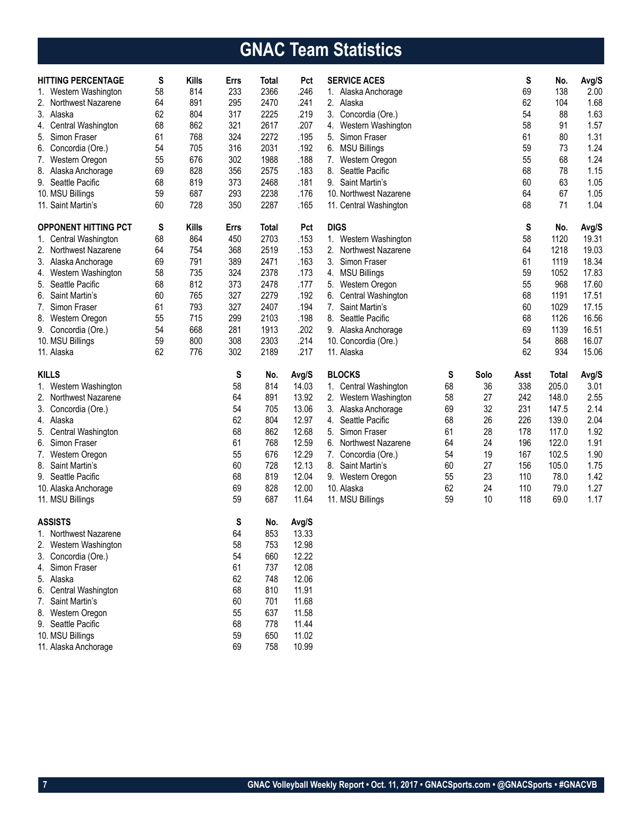# **GNAC Team Statistics**

| <b>HITTING PERCENTAGE</b>               | S  | <b>Kills</b> | Errs     | Total        | Pct            | <b>SERVICE ACES</b>      |    |      | S    | No.   | Avg/S |
|-----------------------------------------|----|--------------|----------|--------------|----------------|--------------------------|----|------|------|-------|-------|
| 1. Western Washington                   | 58 | 814          | 233      | 2366         | .246           | 1. Alaska Anchorage      |    |      | 69   | 138   | 2.00  |
| 2. Northwest Nazarene                   | 64 | 891          | 295      | 2470         | .241           | 2.<br>Alaska             |    |      | 62   | 104   | 1.68  |
| 3. Alaska                               | 62 | 804          | 317      | 2225         | .219           | 3.<br>Concordia (Ore.)   |    |      | 54   | 88    | 1.63  |
| Central Washington<br>4.                | 68 | 862          | 321      | 2617         | .207           | Western Washington<br>4. |    |      | 58   | 91    | 1.57  |
| 5. Simon Fraser                         | 61 | 768          | 324      | 2272         | .195           | 5. Simon Fraser          |    |      | 61   | 80    | 1.31  |
| 6. Concordia (Ore.)                     | 54 | 705          | 316      | 2031         | .192           | 6. MSU Billings          |    |      | 59   | 73    | 1.24  |
| 7. Western Oregon                       | 55 | 676          | 302      | 1988         | .188           | 7.<br>Western Oregon     |    |      | 55   | 68    | 1.24  |
| 8. Alaska Anchorage                     | 69 | 828          | 356      | 2575         | .183           | 8.<br>Seattle Pacific    |    |      | 68   | 78    | 1.15  |
| 9. Seattle Pacific                      | 68 | 819          | 373      | 2468         | .181           | 9. Saint Martin's        |    |      | 60   | 63    | 1.05  |
| 10. MSU Billings                        | 59 | 687          | 293      | 2238         | .176           | 10. Northwest Nazarene   |    |      | 64   | 67    | 1.05  |
| 11. Saint Martin's                      | 60 | 728          | 350      | 2287         | .165           | 11. Central Washington   |    |      | 68   | 71    | 1.04  |
| <b>OPPONENT HITTING PCT</b>             | S  | Kills        | Errs     | <b>Total</b> | Pct            | <b>DIGS</b>              |    |      | S    | No.   | Avg/S |
| 1. Central Washington                   | 68 | 864          | 450      | 2703         | .153           | Western Washington<br>1. |    |      | 58   | 1120  | 19.31 |
| 2. Northwest Nazarene                   | 64 | 754          | 368      | 2519         | .153           | 2. Northwest Nazarene    |    |      | 64   | 1218  | 19.03 |
| 3. Alaska Anchorage                     | 69 | 791          | 389      | 2471         | .163           | 3.<br>Simon Fraser       |    |      | 61   | 1119  | 18.34 |
| 4. Western Washington                   | 58 | 735          | 324      | 2378         | .173           | 4. MSU Billings          |    |      | 59   | 1052  | 17.83 |
| 5. Seattle Pacific                      | 68 | 812          | 373      | 2478         | .177           | 5.<br>Western Oregon     |    |      | 55   | 968   | 17.60 |
| 6. Saint Martin's                       | 60 | 765          | 327      | 2279         | .192           | Central Washington<br>6. |    |      | 68   | 1191  | 17.51 |
| 7. Simon Fraser                         | 61 | 793          | 327      | 2407         | .194           | 7. Saint Martin's        |    |      | 60   | 1029  | 17.15 |
| 8. Western Oregon                       | 55 | 715          | 299      | 2103         | .198           | 8.<br>Seattle Pacific    |    |      | 68   | 1126  | 16.56 |
| 9. Concordia (Ore.)                     | 54 | 668          | 281      | 1913         | .202           | 9. Alaska Anchorage      |    |      | 69   | 1139  | 16.51 |
| 10. MSU Billings                        | 59 | 800          | 308      | 2303         | .214           | 10. Concordia (Ore.)     |    |      | 54   | 868   | 16.07 |
| 11. Alaska                              | 62 | 776          | 302      | 2189         | .217           | 11. Alaska               |    |      | 62   | 934   | 15.06 |
| <b>KILLS</b>                            |    |              | S        | No.          | Avg/S          | <b>BLOCKS</b>            | S  | Solo | Asst | Total | Avg/S |
| 1. Western Washington                   |    |              | 58       | 814          | 14.03          | 1. Central Washington    | 68 | 36   | 338  | 205.0 | 3.01  |
| 2. Northwest Nazarene                   |    |              | 64       | 891          | 13.92          | 2.<br>Western Washington | 58 | 27   | 242  | 148.0 | 2.55  |
| 3. Concordia (Ore.)                     |    |              | 54       | 705          | 13.06          | 3. Alaska Anchorage      | 69 | 32   | 231  | 147.5 | 2.14  |
| 4. Alaska                               |    |              | 62       | 804          | 12.97          | 4. Seattle Pacific       | 68 | 26   | 226  | 139.0 | 2.04  |
| 5. Central Washington                   |    |              | 68       | 862          | 12.68          | Simon Fraser<br>5.       | 61 | 28   | 178  | 117.0 | 1.92  |
| 6. Simon Fraser                         |    |              | 61       | 768          | 12.59          | Northwest Nazarene<br>6. | 64 | 24   | 196  | 122.0 | 1.91  |
| 7. Western Oregon                       |    |              | 55       | 676          | 12.29          | 7. Concordia (Ore.)      | 54 | 19   | 167  | 102.5 | 1.90  |
| 8. Saint Martin's                       |    |              | 60       | 728          | 12.13          | 8. Saint Martin's        | 60 | 27   | 156  | 105.0 | 1.75  |
| 9. Seattle Pacific                      |    |              | 68       | 819          | 12.04          | 9. Western Oregon        | 55 | 23   | 110  | 78.0  | 1.42  |
| 10. Alaska Anchorage                    |    |              | 69       | 828          | 12.00          | 10. Alaska               | 62 | 24   | 110  | 79.0  | 1.27  |
| 11. MSU Billings                        |    |              | 59       | 687          | 11.64          | 11. MSU Billings         | 59 | 10   | 118  | 69.0  | 1.17  |
|                                         |    |              |          |              |                |                          |    |      |      |       |       |
| <b>ASSISTS</b><br>1. Northwest Nazarene |    |              | S<br>64  | No.<br>853   | Avg/S<br>13.33 |                          |    |      |      |       |       |
| 2. Western Washington                   |    |              | 58       | 753          | 12.98          |                          |    |      |      |       |       |
| Concordia (Ore.)<br>3.                  |    |              | 54       | 660          | 12.22          |                          |    |      |      |       |       |
| 4. Simon Fraser                         |    |              | 61       | 737          | 12.08          |                          |    |      |      |       |       |
| 5. Alaska                               |    |              | 62       | 748          | 12.06          |                          |    |      |      |       |       |
| 6. Central Washington                   |    |              | 68       | 810          | 11.91          |                          |    |      |      |       |       |
| 7. Saint Martin's                       |    |              | 60       | 701          | 11.68          |                          |    |      |      |       |       |
| 8. Western Oregon                       |    |              | 55       | 637          | 11.58          |                          |    |      |      |       |       |
| 9. Seattle Pacific                      |    |              | 68       | 778          | 11.44          |                          |    |      |      |       |       |
| 10. MSU Billings                        |    |              |          |              |                |                          |    |      |      |       |       |
|                                         |    |              |          |              |                |                          |    |      |      |       |       |
| 11. Alaska Anchorage                    |    |              | 59<br>69 | 650<br>758   | 11.02<br>10.99 |                          |    |      |      |       |       |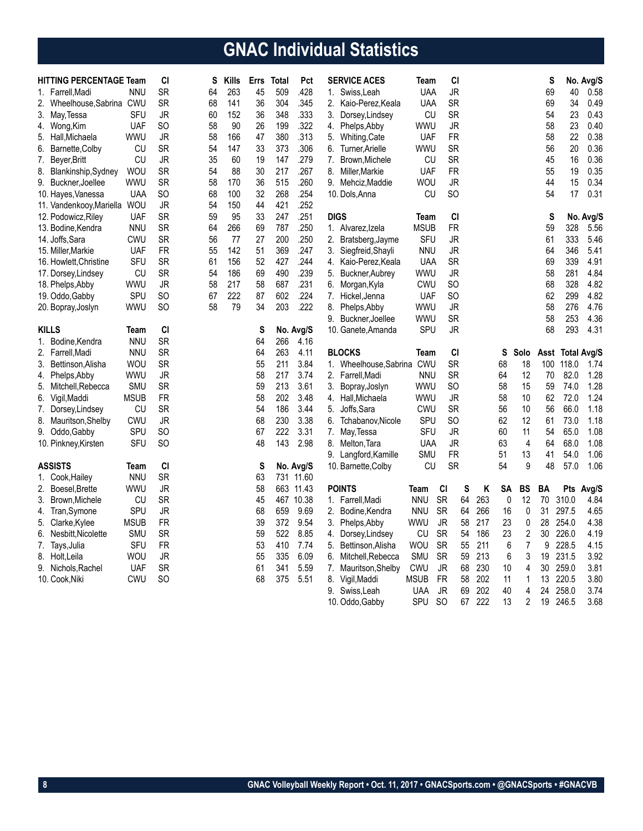# **GNAC Individual Statistics**

| <b>HITTING PERCENTAGE Team</b> |             | CI        | S  | Kills | <b>Errs</b> | <b>Total</b> | Pct       |             | <b>SERVICE ACES</b>       | Team        |               | CI       |     |    |                | S   |                  | No. Avg/S |
|--------------------------------|-------------|-----------|----|-------|-------------|--------------|-----------|-------------|---------------------------|-------------|---------------|----------|-----|----|----------------|-----|------------------|-----------|
| 1. Farrell.Madi                | <b>NNU</b>  | <b>SR</b> | 64 | 263   | 45          | 509          | .428      |             | 1. Swiss, Leah            | <b>UAA</b>  | <b>JR</b>     |          |     |    |                | 69  | 40               | 0.58      |
| 2. Wheelhouse, Sabrina CWU     |             | <b>SR</b> | 68 | 141   | 36          | 304          | .345      |             | 2. Kaio-Perez, Keala      | <b>UAA</b>  | <b>SR</b>     |          |     |    |                | 69  | 34               | 0.49      |
| 3. May, Tessa                  | SFU         | JR        | 60 | 152   | 36          | 348          | .333      | 3.          | Dorsey, Lindsey           | CU          | <b>SR</b>     |          |     |    |                | 54  | 23               | 0.43      |
| 4. Wong, Kim                   | <b>UAF</b>  | SO        | 58 | 90    | 26          | 199          | .322      |             | 4. Phelps, Abby           | WWU         | JR            |          |     |    |                | 58  | 23               | 0.40      |
| Hall, Michaela<br>5.           | WWU         | JR        | 58 | 166   | 47          | 380          | .313      | 5.          | Whiting, Cate             | UAF         | <b>FR</b>     |          |     |    |                | 58  | 22               | 0.38      |
| Barnette, Colby<br>6.          | CU          | SR        | 54 | 147   | 33          | 373          | .306      | 6.          | Turner, Arielle           | WWU         | <b>SR</b>     |          |     |    |                | 56  | 20               | 0.36      |
| 7.<br>Beyer, Britt             | CU          | <b>JR</b> | 35 | 60    | 19          | 147          | .279      | 7.          | Brown, Michele            | CU          | <b>SR</b>     |          |     |    |                | 45  | 16               | 0.36      |
| 8.<br>Blankinship, Sydney      | <b>WOU</b>  | <b>SR</b> | 54 | 88    | 30          | 217          | .267      | 8.          | Miller, Markie            | UAF         | <b>FR</b>     |          |     |    |                | 55  | 19               | 0.35      |
| 9. Buckner, Joellee            | WWU         | <b>SR</b> | 58 | 170   | 36          | 515          | .260      |             | 9. Mehciz, Maddie         | wou         | JR            |          |     |    |                | 44  | 15               | 0.34      |
| 10. Hayes, Vanessa             | <b>UAA</b>  | SO        | 68 | 100   | 32          | 268          | .254      |             | 10. Dols, Anna            | CU          | SO            |          |     |    |                | 54  | 17               | 0.31      |
| 11. Vandenkooy, Mariella       | <b>WOU</b>  | JR        | 54 | 150   | 44          | 421          | .252      |             |                           |             |               |          |     |    |                |     |                  |           |
| 12. Podowicz, Riley            | <b>UAF</b>  | <b>SR</b> | 59 | 95    | 33          | 247          | .251      | <b>DIGS</b> |                           | Team        | CI            |          |     |    |                | S   |                  | No. Avg/S |
| 13. Bodine, Kendra             | <b>NNU</b>  | <b>SR</b> | 64 | 266   | 69          | 787          | .250      |             | 1. Alvarez, Izela         | <b>MSUB</b> | <b>FR</b>     |          |     |    |                | 59  | 328              | 5.56      |
| 14. Joffs, Sara                | CWU         | <b>SR</b> | 56 | 77    | 27          | 200          | .250      | 2.          | Bratsberg, Jayme          | SFU         | JR            |          |     |    |                | 61  | 333              | 5.46      |
| 15. Miller, Markie             | <b>UAF</b>  | <b>FR</b> | 55 | 142   | 51          | 369          | .247      | 3.          | Siegfreid, Shayli         | <b>NNU</b>  | JR            |          |     |    |                | 64  | 346              | 5.41      |
| 16. Howlett, Christine         | SFU         | <b>SR</b> | 61 | 156   | 52          | 427          | .244      |             | 4. Kaio-Perez, Keala      | <b>UAA</b>  | <b>SR</b>     |          |     |    |                | 69  | 339              | 4.91      |
| 17. Dorsey, Lindsey            | CU          | <b>SR</b> | 54 | 186   | 69          | 490          | .239      | 5.          | Buckner, Aubrey           | <b>WWU</b>  | <b>JR</b>     |          |     |    |                | 58  | 281              | 4.84      |
| 18. Phelps, Abby               | WWU         | JR        | 58 | 217   | 58          | 687          | .231      | 6.          | Morgan, Kyla              | <b>CWU</b>  | <b>SO</b>     |          |     |    |                | 68  | 328              | 4.82      |
| 19. Oddo, Gabby                | SPU         | SO        | 67 | 222   | 87          | 602          | .224      | 7.          | Hickel, Jenna             | <b>UAF</b>  | SO.           |          |     |    |                | 62  | 299              | 4.82      |
| 20. Bopray, Joslyn             | wwu         | SO.       | 58 | 79    | 34          | 203          | .222      | 8.          | Phelps, Abby              | <b>WWU</b>  | JR            |          |     |    |                | 58  | 276              | 4.76      |
|                                |             |           |    |       |             |              |           | 9.          | Buckner, Joellee          | WWU         | <b>SR</b>     |          |     |    |                | 58  | 253              | 4.36      |
| <b>KILLS</b>                   | Team        | CI        |    |       | S           |              | No. Avg/S |             | 10. Ganete, Amanda        | <b>SPU</b>  | <b>JR</b>     |          |     |    |                | 68  | 293              | 4.31      |
| 1. Bodine, Kendra              | <b>NNU</b>  | <b>SR</b> |    |       | 64          | 266          | 4.16      |             |                           |             |               |          |     |    |                |     |                  |           |
| 2. Farrell, Madi               | <b>NNU</b>  | <b>SR</b> |    |       | 64          | 263          | 4.11      |             | <b>BLOCKS</b>             | Team        |               | CI       |     | S  | Solo           |     | Asst Total Avg/S |           |
| 3. Bettinson, Alisha           | WOU         | <b>SR</b> |    |       | 55          | 211          | 3.84      |             | 1. Wheelhouse.Sabrina CWU |             | <b>SR</b>     |          |     | 68 | 18             | 100 | 118.0            | 1.74      |
| 4. Phelps, Abby                | wwu         | JR        |    |       | 58          | 217          | 3.74      |             | 2. Farrell, Madi          | <b>NNU</b>  | <b>SR</b>     |          |     | 64 | 12             | 70  | 82.0             | 1.28      |
| 5.<br>Mitchell,Rebecca         | <b>SMU</b>  | <b>SR</b> |    |       | 59          | 213          | 3.61      | 3.          | Bopray, Joslyn            | WWU         | SO            |          |     | 58 | 15             | 59  | 74.0             | 1.28      |
| 6. Vigil, Maddi                | <b>MSUB</b> | <b>FR</b> |    |       | 58          | 202          | 3.48      |             | 4. Hall.Michaela          | <b>WWU</b>  | JR            |          |     | 58 | 10             | 62  | 72.0             | 1.24      |
| 7. Dorsey, Lindsey             | CU          | <b>SR</b> |    |       | 54          | 186          | 3.44      | 5.          | Joffs, Sara               | CWU         | <b>SR</b>     |          |     | 56 | 10             | 56  | 66.0             | 1.18      |
| 8. Mauritson, Shelby           | <b>CWU</b>  | <b>JR</b> |    |       | 68          | 230          | 3.38      |             | 6. Tchabanov, Nicole      | SPU         | SO            |          |     | 62 | 12             | 61  | 73.0             | 1.18      |
| 9. Oddo, Gabby                 | <b>SPU</b>  | SO        |    |       | 67          | 222          | 3.31      |             | 7. May, Tessa             | SFU         | JR            |          |     | 60 | 11             | 54  | 65.0             | 1.08      |
| 10. Pinkney, Kirsten           | SFU         | SO        |    |       | 48          | 143          | 2.98      | 8.          | Melton, Tara              | <b>UAA</b>  | JR            |          |     | 63 | 4              | 64  | 68.0             | 1.08      |
|                                |             |           |    |       |             |              |           |             | 9. Langford, Kamille      | SMU         | <b>FR</b>     |          |     | 51 | 13             | 41  | 54.0             | 1.06      |
| <b>ASSISTS</b>                 | Team        | CI        |    |       | S           |              | No. Avg/S |             | 10. Barnette, Colby       | CU          | <b>SR</b>     |          |     | 54 | 9              | 48  | 57.0             | 1.06      |
| 1. Cook, Hailey                | <b>NNU</b>  | <b>SR</b> |    |       | 63          | 731          | 11.60     |             |                           |             |               |          |     |    |                |     |                  |           |
| 2.<br>Boesel, Brette           | wwu         | <b>JR</b> |    |       | 58          | 663          | 11.43     |             | <b>POINTS</b>             | Team        | <b>CI</b>     | S        | Κ   | SA | <b>BS</b>      | BA  |                  | Pts Avg/S |
| 3.<br>Brown, Michele           | CU          | <b>SR</b> |    |       | 45          | 467          | 10.38     |             | 1. Farrell, Madi          | <b>NNU</b>  | <b>SR</b>     | 64       | 263 | 0  | 12             | 70  | 310.0            | 4.84      |
|                                | SPU         | JR        |    |       | 68          | 659          | 9.69      |             | 2. Bodine, Kendra         | <b>NNU</b>  | <b>SR</b>     | 64       | 266 | 16 | 0              | 31  | 297.5            | 4.65      |
| 4. Tran, Symone                |             | <b>FR</b> |    |       | 39          | 372          | 9.54      |             |                           |             | <b>JR</b>     | 58       | 217 | 23 |                | 28  | 254.0            | 4.38      |
| Clarke, Kylee<br>5.            | <b>MSUB</b> | <b>SR</b> |    |       |             |              | 8.85      | 3.          | Phelps, Abby              | WWU         | <b>SR</b>     |          | 186 | 23 | $\pmb{0}$      | 30  | 226.0            | 4.19      |
| 6.<br>Nesbitt, Nicolette       | <b>SMU</b>  | <b>FR</b> |    |       | 59<br>53    | 522<br>410   |           | 4.          | Dorsey, Lindsey           | CU          | <b>SR</b>     | 54<br>55 | 211 |    | $\sqrt{2}$     |     | 228.5            | 4.15      |
| 7.<br>Tays,Julia               | <b>SFU</b>  |           |    |       |             |              | 7.74      | 5.          | Bettinson, Alisha         | <b>WOU</b>  |               |          | 213 | 6  | 7              | 9   |                  |           |
| 8. Holt, Leila                 | WOU         | JR        |    |       | 55          | 335          | 6.09      | 6.          | Mitchell, Rebecca         | <b>SMU</b>  | <b>SR</b>     | 59       |     | 6  | 3              | 19  | 231.5            | 3.92      |
| 9. Nichols, Rachel             | <b>UAF</b>  | <b>SR</b> |    |       | 61          | 341          | 5.59      |             | 7. Mauritson, Shelby      | <b>CWU</b>  | JR            | 68       | 230 | 10 | 4              | 30  | 259.0            | 3.81      |
| 10. Cook, Niki                 | CWU         | SO.       |    |       | 68          | 375          | 5.51      | 8.          | Vigil, Maddi              | <b>MSUB</b> | <b>FR</b>     | 58       | 202 | 11 | 1              | 13  | 220.5            | 3.80      |
|                                |             |           |    |       |             |              |           | 9.          | Swiss, Leah               | <b>UAA</b>  | JR            | 69       | 202 | 40 | 4              | 24  | 258.0            | 3.74      |
|                                |             |           |    |       |             |              |           |             | 10. Oddo, Gabby           | SPU         | <sub>SO</sub> | 67       | 222 | 13 | $\overline{2}$ | 19  | 246.5            | 3.68      |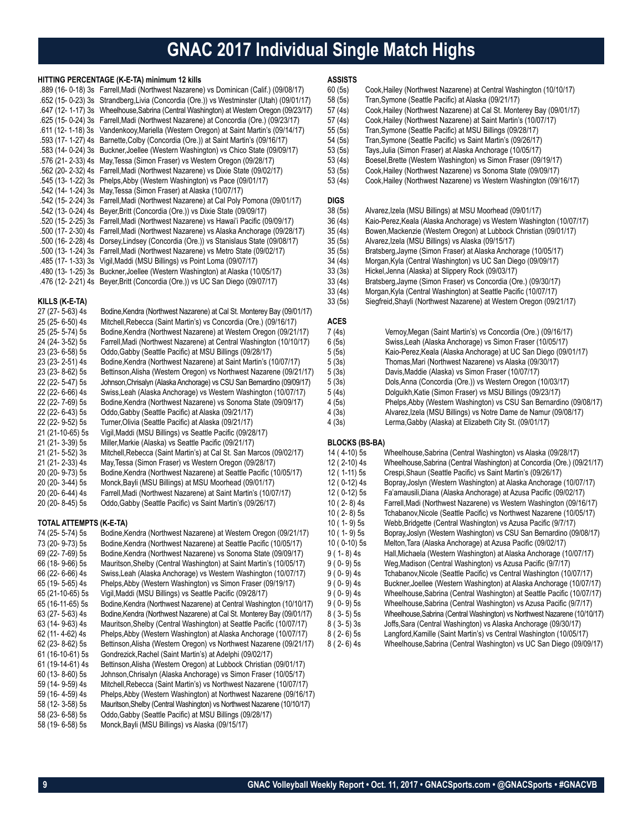### **GNAC 2017 Individual Single Match Highs**

#### **HITTING PERCENTAGE (K-E-TA) minimum 12 kills**

| .889 (16-0-18) 3s Farrell, Madi (Northwest Nazarene) vs Dominican (Calif.) (09/08/17)    |
|------------------------------------------------------------------------------------------|
| .652 (15-0-23) 3s Strandberg, Livia (Concordia (Ore.)) vs Westminster (Utah) (09/01/17)  |
| .647 (12- 1-17) 3s Wheelhouse, Sabrina (Central Washington) at Western Oregon (09/23/17) |
| .625 (15- 0-24) 3s Farrell, Madi (Northwest Nazarene) at Concordia (Ore.) (09/23/17)     |
| .611 (12- 1-18) 3s Vandenkooy, Mariella (Western Oregon) at Saint Martin's (09/14/17)    |
| .593 (17- 1-27) 4s Barnette, Colby (Concordia (Ore.)) at Saint Martin's (09/16/17)       |
| .583 (14- 0-24) 3s Buckner, Joellee (Western Washington) vs Chico State (09/09/17)       |
| .576 (21- 2-33) 4s May, Tessa (Simon Fraser) vs Western Oregon (09/28/17)                |
| .562 (20-2-32) 4s Farrell, Madi (Northwest Nazarene) vs Dixie State (09/02/17)           |
| .545 (13- 1-22) 3s Phelps, Abby (Western Washington) vs Pace (09/01/17)                  |
| .542 (14- 1-24) 3s May, Tessa (Simon Fraser) at Alaska (10/07/17)                        |
| .542 (15- 2-24) 3s Farrell, Madi (Northwest Nazarene) at Cal Poly Pomona (09/01/17)      |
| .542 (13- 0-24) 4s Beyer, Britt (Concordia (Ore.)) vs Dixie State (09/09/17)             |
| .520 (15-2-25) 3s Farrell, Madi (Northwest Nazarene) vs Hawai'i Pacific (09/09/17)       |
| .500 (17-2-30) 4s Farrell, Madi (Northwest Nazarene) vs Alaska Anchorage (09/28/17)      |
| .500 (16-2-28) 4s Dorsey, Lindsey (Concordia (Ore.)) vs Stanislaus State (09/08/17)      |
| .500 (13-1-24) 3s Farrell, Madi (Northwest Nazarene) vs Metro State (09/02/17)           |
| .485 (17- 1-33) 3s Vigil, Maddi (MSU Billings) vs Point Loma (09/07/17)                  |
| .480 (13- 1-25) 3s Buckner, Joellee (Western Washington) at Alaska (10/05/17)            |
| .476 (12-2-21) 4s Beyer, Britt (Concordia (Ore.)) vs UC San Diego (09/07/17)             |
|                                                                                          |

#### **KILLS (K-E-TA)**

| 27 (27-5-63) 4s  | Bodine, Kendra (Northwest Nazarene) at Cal St. Monterey Bay (09/01/17) |
|------------------|------------------------------------------------------------------------|
| 25 (25-6-50) 4s  | Mitchell, Rebecca (Saint Martin's) vs Concordia (Ore.) (09/16/17)      |
| 25 (25-5-74) 5s  | Bodine, Kendra (Northwest Nazarene) at Western Oregon (09/21/17)       |
| 24 (24-3-52) 5s  | Farrell, Madi (Northwest Nazarene) at Central Washington (10/10/17)    |
| 23 (23-6-58) 5s  | Oddo, Gabby (Seattle Pacific) at MSU Billings (09/28/17)               |
| 23 (23-2-51) 4s  | Bodine, Kendra (Northwest Nazarene) at Saint Martin's (10/07/17)       |
| 23 (23-8-62) 5s  | Bettinson, Alisha (Western Oregon) vs Northwest Nazarene (09/21/17)    |
| 22 (22- 5-47) 5s | Johnson, Chrisalyn (Alaska Anchorage) vs CSU San Bernardino (09/09/17) |
| 22 (22-6-66) 4s  | Swiss, Leah (Alaska Anchorage) vs Western Washington (10/07/17)        |
| 22 (22-7-69) 5s  | Bodine, Kendra (Northwest Nazarene) vs Sonoma State (09/09/17)         |
| 22 (22-6-43) 5s  | Oddo, Gabby (Seattle Pacific) at Alaska (09/21/17)                     |
| 22 (22- 9-52) 5s | Turner, Olivia (Seattle Pacific) at Alaska (09/21/17)                  |
| 21 (21-10-65) 5s | Vigil, Maddi (MSU Billings) vs Seattle Pacific (09/28/17)              |
| 21 (21-3-39) 5s  | Miller, Markie (Alaska) vs Seattle Pacific (09/21/17)                  |
| 21 (21-5-52) 3s  | Mitchell, Rebecca (Saint Martin's) at Cal St. San Marcos (09/02/17)    |
| 21 (21-2-33) 4s  | May, Tessa (Simon Fraser) vs Western Oregon (09/28/17)                 |
| 20 (20-9-73) 5s  | Bodine, Kendra (Northwest Nazarene) at Seattle Pacific (10/05/17)      |
| 20 (20-3-44) 5s  | Monck, Bayli (MSU Billings) at MSU Moorhead (09/01/17)                 |
| 20 (20-6-44) 4s  | Farrell, Madi (Northwest Nazarene) at Saint Martin's (10/07/17)        |
| 20 (20-8-45) 5s  | Oddo, Gabby (Seattle Pacific) vs Saint Martin's (09/26/17)             |

#### **TOTAL ATTEMPTS (K-E-TA)**

| 74 (25- 5-74) 5s | Bodine, Kendra (Northwest Nazarene) at Western Oregon (09/21/17)        |
|------------------|-------------------------------------------------------------------------|
| 73 (20-9-73) 5s  | Bodine, Kendra (Northwest Nazarene) at Seattle Pacific (10/05/17)       |
| 69 (22- 7-69) 5s | Bodine, Kendra (Northwest Nazarene) vs Sonoma State (09/09/17)          |
| 66 (18-9-66) 5s  | Mauritson Shelby (Central Washington) at Saint Martin's (10/05/17)      |
| 66 (22- 6-66) 4s | Swiss, Leah (Alaska Anchorage) vs Western Washington (10/07/17)         |
| 65 (19- 5-65) 4s | Phelps, Abby (Western Washington) vs Simon Fraser (09/19/17)            |
| 65 (21-10-65) 5s | Vigil, Maddi (MSU Billings) vs Seattle Pacific (09/28/17)               |
| 65 (16-11-65) 5s | Bodine, Kendra (Northwest Nazarene) at Central Washington (10/10/17)    |
| 63 (27- 5-63) 4s | Bodine, Kendra (Northwest Nazarene) at Cal St. Monterey Bay (09/01/17)  |
| 63 (14-9-63) 4s  | Mauritson, Shelby (Central Washington) at Seattle Pacific (10/07/17)    |
| 62 (11-4-62) 4s  | Phelps, Abby (Western Washington) at Alaska Anchorage (10/07/17)        |
| 62 (23- 8-62) 5s | Bettinson, Alisha (Western Oregon) vs Northwest Nazarene (09/21/17)     |
| 61 (16-10-61) 5s | Gondrezick, Rachel (Saint Martin's) at Adelphi (09/02/17)               |
| 61 (19-14-61) 4s | Bettinson, Alisha (Western Oregon) at Lubbock Christian (09/01/17)      |
| 60 (13-8-60) 5s  | Johnson, Chrisalyn (Alaska Anchorage) vs Simon Fraser (10/05/17)        |
| 59 (14- 9-59) 4s | Mitchell, Rebecca (Saint Martin's) vs Northwest Nazarene (10/07/17)     |
| 59 (16-4-59) 4s  | Phelps, Abby (Western Washington) at Northwest Nazarene (09/16/17)      |
| 58 (12-3-58) 5s  | Mauritson, Shelby (Central Washington) vs Northwest Nazarene (10/10/17) |
| 58 (23- 6-58) 5s | Oddo Gabby (Seattle Pacific) at MSU Billings (09/28/17)                 |
| 58 (19- 6-58) 5s | Monck, Bayli (MSU Billings) vs Alaska (09/15/17)                        |
|                  |                                                                         |

### **ASSISTS**

- 60 (5s) Cook, Hailey (Northwest Nazarene) at Central Washington (10/10/17)<br>58 (5s) Tran, Symone (Seattle Pacific) at Alaska (09/21/17)
- 58 (5s) Tran, Symone (Seattle Pacific) at Alaska (09/21/17)<br>57 (4s) Cook, Hailey (Northwest Nazarene) at Cal St. Monte
- 57 (4s) Cook, Hailey (Northwest Nazarene) at Cal St. Monterey Bay (09/01/17)<br>57 (4s) Cook, Hailey (Northwest Nazarene) at Saint Martin's (10/07/17)
	- Cook, Hailey (Northwest Nazarene) at Saint Martin's (10/07/17)
- 55 (5s) Tran,Symone (Seattle Pacific) at MSU Billings (09/28/17)
- 54 (5s) Tran, Symone (Seattle Pacific) vs Saint Martin's (09/26/17)<br>53 (5s) Tays, Julia (Simon Fraser) at Alaska Anchorage (10/05/17)
- 53 (5s) Tays, Julia (Simon Fraser) at Alaska Anchorage (10/05/17)<br>53 (4s) Boesel, Brette (Western Washington) vs Simon Fraser (09
- 
- 53 (4s) Boesel, Brette (Western Washington) vs Simon Fraser (09/19/17)<br>53 (5s) Cook, Hailey (Northwest Nazarene) vs Sonoma State (09/09/17) 53 (5s) Cook, Hailey (Northwest Nazarene) vs Sonoma State (09/09/17)<br>53 (4s) Cook, Hailey (Northwest Nazarene) vs Western Washington (09/
- Cook, Hailey (Northwest Nazarene) vs Western Washington (09/16/17)

### **DIGS**<br>38 (5s)

- 38 (5s) Alvarez,Izela (MSU Billings) at MSU Moorhead (09/01/17)
- 36 (4s) Kaio-Perez,Keala (Alaska Anchorage) vs Western Washington (10/07/17)
- 35 (4s) Bowen,Mackenzie (Western Oregon) at Lubbock Christian (09/01/17)
	- 35 (5s) Alvarez,Izela (MSU Billings) vs Alaska (09/15/17)
- 35 (5s) Bratsberg,Jayme (Simon Fraser) at Alaska Anchorage (10/05/17)
- 34 (4s) Morgan,Kyla (Central Washington) vs UC San Diego (09/09/17)
- Hickel,Jenna (Alaska) at Slippery Rock (09/03/17)
- 33 (4s) Bratsberg,Jayme (Simon Fraser) vs Concordia (Ore.) (09/30/17)
- 33 (4s) Morgan,Kyla (Central Washington) at Seattle Pacific (10/07/17)
- 33 (5s) Siegfreid,Shayli (Northwest Nazarene) at Western Oregon (09/21/17)

#### **ACES**

| 7 (4s) | Vernoy Megan (Saint Martin's) vs Concordia (Ore.) (09/16/17)                                                      |
|--------|-------------------------------------------------------------------------------------------------------------------|
| 6 (5s) | Swiss, Leah (Alaska Anchorage) vs Simon Fraser (10/05/17)                                                         |
| 5 (5s) | Kaio-Perez, Keala (Alaska Anchorage) at UC San Diego (09/01/17)                                                   |
| 5 (3s) | Thomas, Mari (Northwest Nazarene) vs Alaska (09/30/17)                                                            |
| 5 (3s) | Davis, Maddie (Alaska) vs Simon Fraser (10/07/17)                                                                 |
| 5 (3s) | Dols, Anna (Concordia (Ore.)) vs Western Oregon (10/03/17)                                                        |
| 5 (4s) | Dolquikh Katie (Simon Fraser) vs MSU Billings (09/23/17)                                                          |
| 4 (5s) | Phelps, Abby (Western Washington) vs CSU San Bernardino (09/08/17)                                                |
| 4 (3s) | Alvarez, Izela (MSU Billings) vs Notre Dame de Namur (09/08/17)                                                   |
| 112.1  | $1$ , , $Q$ , $L$ , $L$ , $M$ , $L$ , $L$ , $L$ , $L$ , $L$ , $L$ , $Q$ , $Q$ , $Q$ , $Q$ , $Q$ , $Q$ , $M$ , $Z$ |

4 (3s) Lerma,Gabby (Alaska) at Elizabeth City St. (09/01/17)

#### **BLOCKS (BS-BA)**

| 14 (4-10) 5s  | Wheelhouse, Sabrina (Central Washington) vs Alaska (09/28/17)             |
|---------------|---------------------------------------------------------------------------|
| 12 (2-10) 4s  | Wheelhouse, Sabrina (Central Washington) at Concordia (Ore.) (09/21/17)   |
| 12 (1-11) 5s  | Crespi, Shaun (Seattle Pacific) vs Saint Martin's (09/26/17)              |
| 12 (0-12) 4s  | Bopray, Joslyn (Western Washington) at Alaska Anchorage (10/07/17)        |
| 12 (0-12) 5s  | Fa'amausili, Diana (Alaska Anchorage) at Azusa Pacific (09/02/17)         |
| $10(2-8)4s$   | Farrell, Madi (Northwest Nazarene) vs Western Washington (09/16/17)       |
| $10(2-8)5s$   | Tchabanov, Nicole (Seattle Pacific) vs Northwest Nazarene (10/05/17)      |
| $10(1-9)5s$   | Webb, Bridgette (Central Washington) vs Azusa Pacific (9/7/17)            |
| $10(1-9)5s$   | Bopray, Joslyn (Western Washington) vs CSU San Bernardino (09/08/17)      |
| $10(0-10)$ 5s | Melton, Tara (Alaska Anchorage) at Azusa Pacific (09/02/17)               |
| $9(1 - 8)$ 4s | Hall, Michaela (Western Washington) at Alaska Anchorage (10/07/17)        |
| $9(0-9)5s$    | Weg, Madison (Central Washington) vs Azusa Pacific (9/7/17)               |
| $9(0-9)$ 4s   | Tchabanov, Nicole (Seattle Pacific) vs Central Washington (10/07/17)      |
| $9(0-9)4s$    | Buckner, Joellee (Western Washington) at Alaska Anchorage (10/07/17)      |
| $9(0-9)$ 4s   | Wheelhouse, Sabrina (Central Washington) at Seattle Pacific (10/07/17)    |
| $9(0-9)5s$    | Wheelhouse, Sabrina (Central Washington) vs Azusa Pacific (9/7/17)        |
| $8(3-5)5s$    | Wheelhouse, Sabrina (Central Washington) vs Northwest Nazarene (10/10/17) |
| $8(3-5)3s$    | Joffs, Sara (Central Washington) vs Alaska Anchorage (09/30/17)           |
| $8(2-6)5s$    | Langford, Kamille (Saint Martin's) vs Central Washington (10/05/17)       |
| $8(2-6)$ 4s   | Wheelhouse, Sabrina (Central Washington) vs UC San Diego (09/09/17)       |